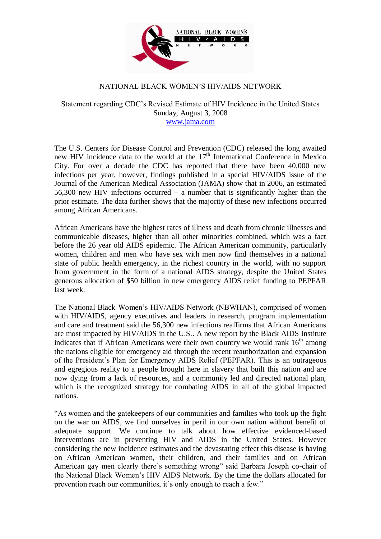

## NATIONAL BLACK WOMEN'S HIV/AIDS NETWORK

Statement regarding CDC's Revised Estimate of HIV Incidence in the United States Sunday, August 3, 2008 [www.jama.com](http://www.jama.com/)

The U.S. Centers for Disease Control and Prevention (CDC) released the long awaited new HIV incidence data to the world at the  $17<sup>th</sup>$  International Conference in Mexico City. For over a decade the CDC has reported that there have been 40,000 new infections per year, however, findings published in a special HIV/AIDS issue of the Journal of the American Medical Association (JAMA) show that in 2006, an estimated 56,300 new HIV infections occurred – a number that is significantly higher than the prior estimate. The data further shows that the majority of these new infections occurred among African Americans.

African Americans have the highest rates of illness and death from chronic illnesses and communicable diseases, higher than all other minorities combined, which was a fact before the 26 year old AIDS epidemic. The African American community, particularly women, children and men who have sex with men now find themselves in a national state of public health emergency, in the richest country in the world, with no support from government in the form of a national AIDS strategy, despite the United States generous allocation of \$50 billion in new emergency AIDS relief funding to PEPFAR last week.

The National Black Women's HIV/AIDS Network (NBWHAN), comprised of women with HIV/AIDS, agency executives and leaders in research, program implementation and care and treatment said the 56,300 new infections reaffirms that African Americans are most impacted by HIV/AIDS in the U.S.. A new report by the Black AIDS Institute indicates that if African Americans were their own country we would rank  $16<sup>th</sup>$  among the nations eligible for emergency aid through the recent reauthorization and expansion of the President's Plan for Emergency AIDS Relief (PEPFAR). This is an outrageous and egregious reality to a people brought here in slavery that built this nation and are now dying from a lack of resources, and a community led and directed national plan, which is the recognized strategy for combating AIDS in all of the global impacted nations.

"As women and the gatekeepers of our communities and families who took up the fight on the war on AIDS, we find ourselves in peril in our own nation without benefit of adequate support. We continue to talk about how effective evidenced-based interventions are in preventing HIV and AIDS in the United States. However considering the new incidence estimates and the devastating effect this disease is having on African American women, their children, and their families and on African American gay men clearly there's something wrong" said Barbara Joseph co-chair of the National Black Women's HIV AIDS Network. By the time the dollars allocated for prevention reach our communities, it's only enough to reach a few."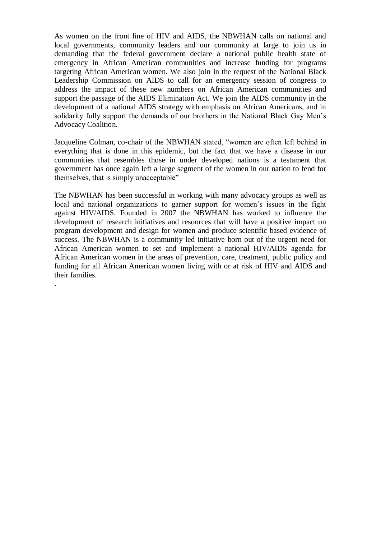As women on the front line of HIV and AIDS, the NBWHAN calls on national and local governments, community leaders and our community at large to join us in demanding that the federal government declare a national public health state of emergency in African American communities and increase funding for programs targeting African American women. We also join in the request of the National Black Leadership Commission on AIDS to call for an emergency session of congress to address the impact of these new numbers on African American communities and support the passage of the AIDS Elimination Act. We join the AIDS community in the development of a national AIDS strategy with emphasis on African Americans, and in solidarity fully support the demands of our brothers in the National Black Gay Men's Advocacy Coalition.

Jacqueline Colman, co-chair of the NBWHAN stated, "women are often left behind in everything that is done in this epidemic, but the fact that we have a disease in our communities that resembles those in under developed nations is a testament that government has once again left a large segment of the women in our nation to fend for themselves, that is simply unacceptable"

The NBWHAN has been successful in working with many advocacy groups as well as local and national organizations to garner support for women's issues in the fight against HIV/AIDS. Founded in 2007 the NBWHAN has worked to influence the development of research initiatives and resources that will have a positive impact on program development and design for women and produce scientific based evidence of success. The NBWHAN is a community led initiative born out of the urgent need for African American women to set and implement a national HIV/AIDS agenda for African American women in the areas of prevention, care, treatment, public policy and funding for all African American women living with or at risk of HIV and AIDS and their families.

.